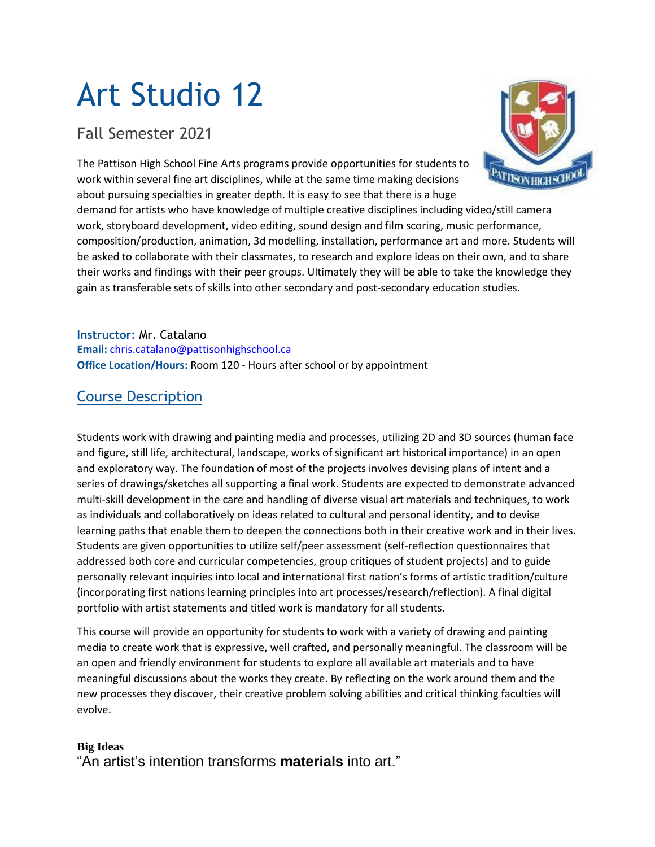# Art Studio 12

# Fall Semester 2021

The Pattison High School Fine Arts programs provide opportunities for students to work within several fine art disciplines, while at the same time making decisions about pursuing specialties in greater depth. It is easy to see that there is a huge



demand for artists who have knowledge of multiple creative disciplines including video/still camera work, storyboard development, video editing, sound design and film scoring, music performance, composition/production, animation, 3d modelling, installation, performance art and more. Students will be asked to collaborate with their classmates, to research and explore ideas on their own, and to share their works and findings with their peer groups. Ultimately they will be able to take the knowledge they gain as transferable sets of skills into other secondary and post-secondary education studies.

**Instructor:** Mr. Catalano **Email:** [chris.catalano@pattisonhighschool.ca](mailto:chris.catalano@pattisonhighschool.ca) **Office Location/Hours:** Room 120 - Hours after school or by appointment

## Course Description

Students work with drawing and painting media and processes, utilizing 2D and 3D sources (human face and figure, still life, architectural, landscape, works of significant art historical importance) in an open and exploratory way. The foundation of most of the projects involves devising plans of intent and a series of drawings/sketches all supporting a final work. Students are expected to demonstrate advanced multi-skill development in the care and handling of diverse visual art materials and techniques, to work as individuals and collaboratively on ideas related to cultural and personal identity, and to devise learning paths that enable them to deepen the connections both in their creative work and in their lives. Students are given opportunities to utilize self/peer assessment (self-reflection questionnaires that addressed both core and curricular competencies, group critiques of student projects) and to guide personally relevant inquiries into local and international first nation's forms of artistic tradition/culture (incorporating first nations learning principles into art processes/research/reflection). A final digital portfolio with artist statements and titled work is mandatory for all students.

This course will provide an opportunity for students to work with a variety of drawing and painting media to create work that is expressive, well crafted, and personally meaningful. The classroom will be an open and friendly environment for students to explore all available art materials and to have meaningful discussions about the works they create. By reflecting on the work around them and the new processes they discover, their creative problem solving abilities and critical thinking faculties will evolve.

## **Big Ideas**

"An artist's intention transforms **materials** into art."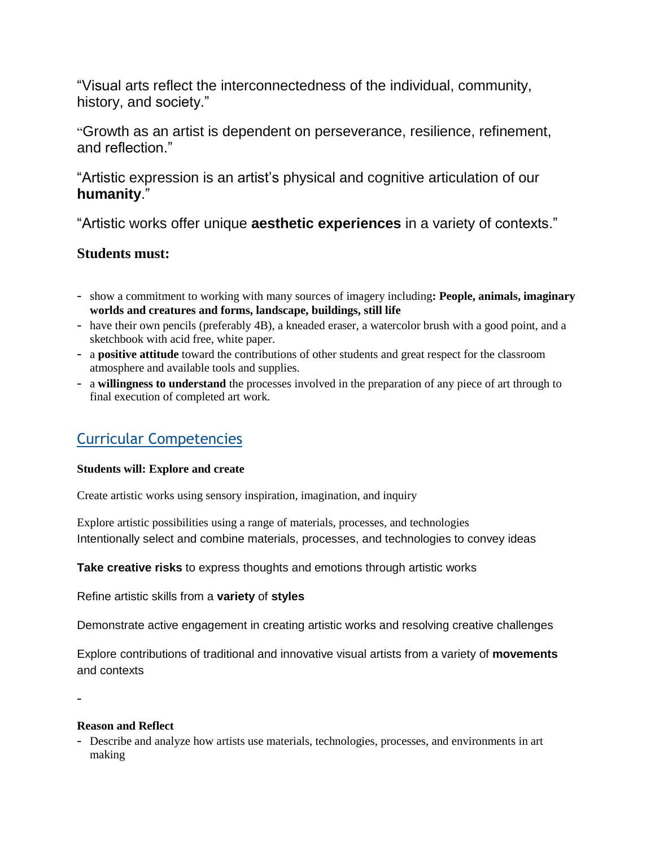"Visual arts reflect the interconnectedness of the individual, community, history, and society."

"Growth as an artist is dependent on perseverance, resilience, refinement, and reflection."

"Artistic expression is an artist's physical and cognitive articulation of our **humanity**."

"Artistic works offer unique **aesthetic experiences** in a variety of contexts."

## **Students must:**

- show a commitment to working with many sources of imagery including**: People, animals, imaginary worlds and creatures and forms, landscape, buildings, still life**
- have their own pencils (preferably 4B), a kneaded eraser, a watercolor brush with a good point, and a sketchbook with acid free, white paper.
- a **positive attitude** toward the contributions of other students and great respect for the classroom atmosphere and available tools and supplies.
- a **willingness to understand** the processes involved in the preparation of any piece of art through to final execution of completed art work.

# Curricular Competencies

#### **Students will: Explore and create**

Create artistic works using sensory inspiration, imagination, and inquiry

Explore artistic possibilities using a range of materials, processes, and technologies Intentionally select and combine materials, processes, and technologies to convey ideas

**Take creative risks** to express thoughts and emotions through artistic works

Refine artistic skills from a **variety** of **styles**

Demonstrate active engagement in creating artistic works and resolving creative challenges

Explore contributions of traditional and innovative visual artists from a variety of **movements** and contexts

-

#### **Reason and Reflect**

- Describe and analyze how artists use materials, technologies, processes, and environments in art making